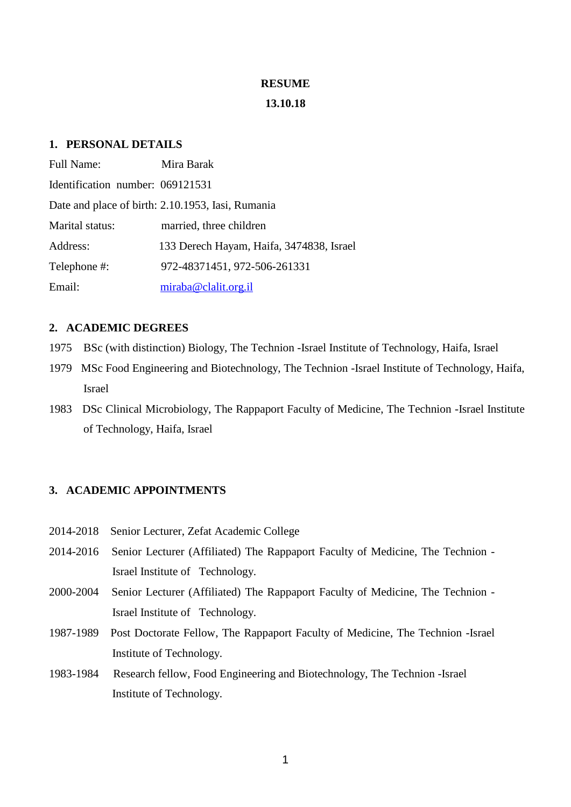#### **RESUME**

#### **13.10.18**

# **1. PERSONAL DETAILS**

| <b>Full Name:</b>                | Mira Barak                                        |
|----------------------------------|---------------------------------------------------|
| Identification number: 069121531 |                                                   |
|                                  | Date and place of birth: 2.10.1953, Iasi, Rumania |
| Marital status:                  | married, three children                           |
| Address:                         | 133 Derech Hayam, Haifa, 3474838, Israel          |
| Telephone #:                     | 972-48371451, 972-506-261331                      |
| Email:                           | miraba@clalit.org.il                              |

## **2. ACADEMIC DEGREES**

- 1975 BSc (with distinction) Biology, The Technion -Israel Institute of Technology, Haifa, Israel
- 1979 MSc Food Engineering and Biotechnology, The Technion -Israel Institute of Technology, Haifa, Israel
- 1983 DSc Clinical Microbiology, The Rappaport Faculty of Medicine, The Technion -Israel Institute of Technology, Haifa, Israel

## **3. ACADEMIC APPOINTMENTS**

- 2014-2018 Senior Lecturer, Zefat Academic College
- 2014-2016 Senior Lecturer (Affiliated) The Rappaport Faculty of Medicine, The Technion Israel Institute of Technology.
- 2000-2004 Senior Lecturer (Affiliated) The Rappaport Faculty of Medicine, The Technion Israel Institute of Technology.
- 1987-1989 Post Doctorate Fellow, The Rappaport Faculty of Medicine, The Technion -Israel Institute of Technology.
- 1983-1984 Research fellow, Food Engineering and Biotechnology, The Technion -Israel Institute of Technology.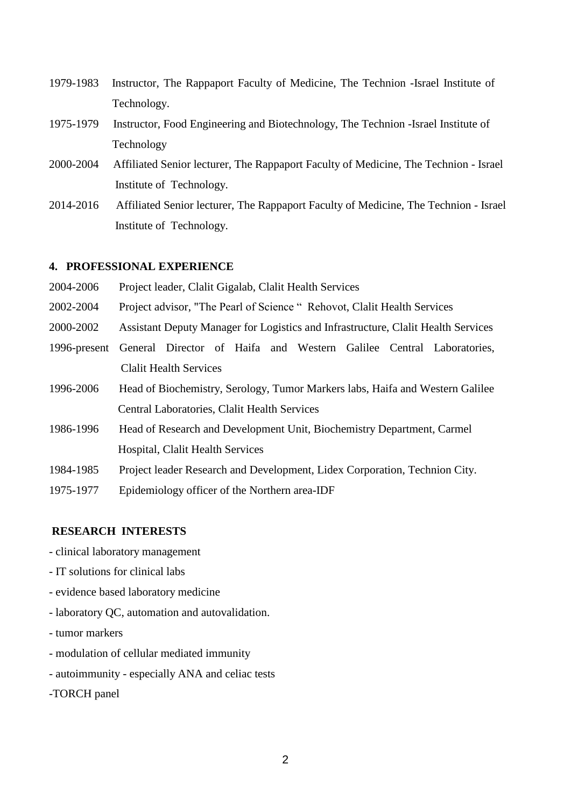- 1979-1983 Instructor, The Rappaport Faculty of Medicine, The Technion -Israel Institute of Technology.
- 1975-1979 Instructor, Food Engineering and Biotechnology, The Technion -Israel Institute of Technology
- 2000-2004 Affiliated Senior lecturer, The Rappaport Faculty of Medicine, The Technion Israel Institute of Technology.
- 2014-2016 Affiliated Senior lecturer, The Rappaport Faculty of Medicine, The Technion Israel Institute of Technology.

#### **4. PROFESSIONAL EXPERIENCE**

- 2004-2006 Project leader, Clalit Gigalab, Clalit Health Services
- 2002-2004 Project advisor, "The Pearl of Science " Rehovot, Clalit Health Services
- 2000-2002 Assistant Deputy Manager for Logistics and Infrastructure, Clalit Health Services
- 1996-present General Director of Haifa and Western Galilee Central Laboratories, Clalit Health Services
- 1996-2006 Head of Biochemistry, Serology, Tumor Markers labs, Haifa and Western Galilee Central Laboratories, Clalit Health Services
- 1986-1996 Head of Research and Development Unit, Biochemistry Department, Carmel Hospital, Clalit Health Services
- 1984-1985 Project leader Research and Development, Lidex Corporation, Technion City.
- 1975-1977 Epidemiology officer of the Northern area-IDF

# **RESEARCH INTERESTS**

- clinical laboratory management

- IT solutions for clinical labs
- evidence based laboratory medicine
- laboratory QC, automation and autovalidation.
- tumor markers
- modulation of cellular mediated immunity
- autoimmunity especially ANA and celiac tests
- -TORCH panel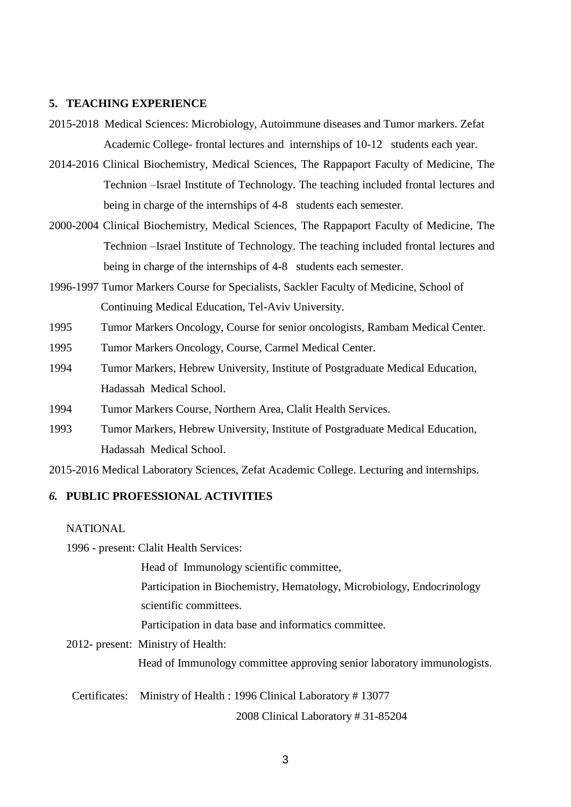## **5. TEACHING EXPERIENCE**

- 2015-2018 Medical Sciences: Microbiology, Autoimmune diseases and Tumor markers. Zefat Academic College- frontal lectures and internships of 10-12 students each year.
- 2014-2016 Clinical Biochemistry, Medical Sciences, The Rappaport Faculty of Medicine, The Technion –Israel Institute of Technology. The teaching included frontal lectures and being in charge of the internships of 4-8 students each semester.
- 2000-2004 Clinical Biochemistry, Medical Sciences, The Rappaport Faculty of Medicine, The Technion –Israel Institute of Technology. The teaching included frontal lectures and being in charge of the internships of 4-8 students each semester.
- 1996-1997 Tumor Markers Course for Specialists, Sackler Faculty of Medicine, School of Continuing Medical Education, Tel-Aviv University.
- 1995 Tumor Markers Oncology, Course for senior oncologists, Rambam Medical Center.
- 1995 Tumor Markers Oncology, Course, Carmel Medical Center.
- 1994 Tumor Markers, Hebrew University, Institute of Postgraduate Medical Education, Hadassah Medical School.
- 1994 Tumor Markers Course, Northern Area, Clalit Health Services.
- 1993 Tumor Markers, Hebrew University, Institute of Postgraduate Medical Education, Hadassah Medical School.

2015-2016 Medical Laboratory Sciences, Zefat Academic College. Lecturing and internships.

# *6.* **PUBLIC PROFESSIONAL ACTIVITIES**

#### **NATIONAL**

1996 - present: Clalit Health Services:

Head of Immunology scientific committee,

 Participation in Biochemistry, Hematology, Microbiology, Endocrinology scientific committees.

Participation in data base and informatics committee.

2012- present: Ministry of Health:

Head of Immunology committee approving senior laboratory immunologists.

Certificates: Ministry of Health : 1996 Clinical Laboratory # 13077

2008 Clinical Laboratory # 31-85204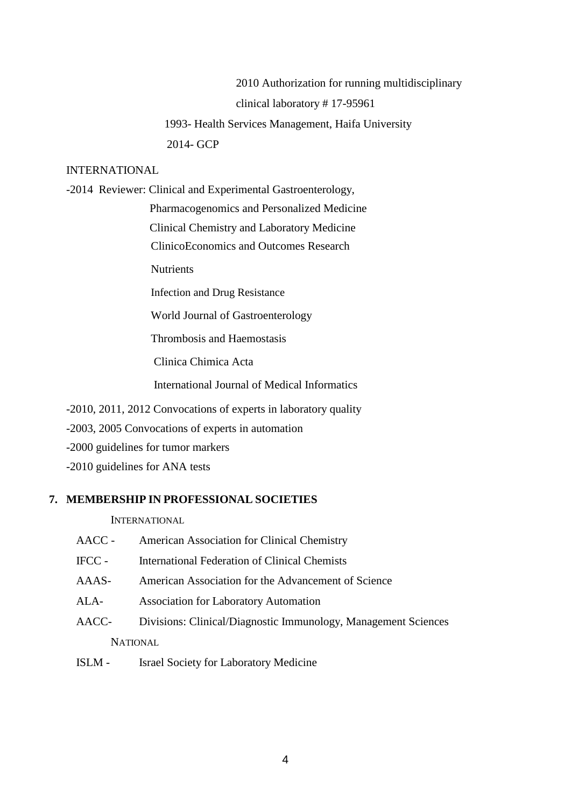2010 Authorization for running multidisciplinary clinical laboratory # 17-95961 1993- Health Services Management, Haifa University 2014- GCP

## INTERNATIONAL

-2014 Reviewer: Clinical and Experimental Gastroenterology, Pharmacogenomics and Personalized Medicine

Clinical Chemistry and Laboratory Medicine

ClinicoEconomics and Outcomes Research

**Nutrients** 

Infection and Drug Resistance

World Journal of Gastroenterology

Thrombosis and Haemostasis

Clinica Chimica Acta

International Journal of Medical Informatics

-2010, 2011, 2012 Convocations of experts in laboratory quality

-2003, 2005 Convocations of experts in automation

-2000 guidelines for tumor markers

-2010 guidelines for ANA tests

# **7. MEMBERSHIP IN PROFESSIONAL SOCIETIES**

**INTERNATIONAL** 

- AACC American Association for Clinical Chemistry
- IFCC International Federation of Clinical Chemists
- AAAS- American Association for the Advancement of Science
- ALA- Association for Laboratory Automation
- AACC- Divisions: Clinical/Diagnostic Immunology, Management Sciences **NATIONAL**
- ISLM Israel Society for Laboratory Medicine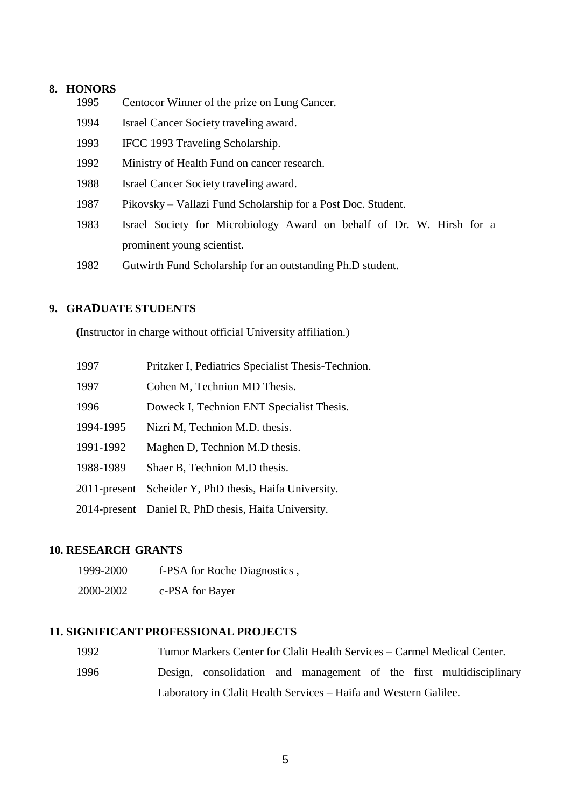## **8. HONORS**

- 1995 Centocor Winner of the prize on Lung Cancer.
- 1994 Israel Cancer Society traveling award.
- 1993 IFCC 1993 Traveling Scholarship.
- 1992 Ministry of Health Fund on cancer research.
- 1988 Israel Cancer Society traveling award.
- 1987 Pikovsky Vallazi Fund Scholarship for a Post Doc. Student.
- 1983 Israel Society for Microbiology Award on behalf of Dr. W. Hirsh for a prominent young scientist.
- 1982 Gutwirth Fund Scholarship for an outstanding Ph.D student.

## **9. GRADUATE STUDENTS**

**(**Instructor in charge without official University affiliation.)

| 1997            | Pritzker I, Pediatrics Specialist Thesis-Technion.   |
|-----------------|------------------------------------------------------|
| 1997            | Cohen M, Technion MD Thesis.                         |
| 1996            | Doweck I, Technion ENT Specialist Thesis.            |
| 1994-1995       | Nizri M, Technion M.D. thesis.                       |
| 1991-1992       | Maghen D, Technion M.D thesis.                       |
| 1988-1989       | Shaer B, Technion M.D thesis.                        |
| $2011$ -present | Scheider Y, PhD thesis, Haifa University.            |
|                 | 2014-present Daniel R, PhD thesis, Haifa University. |

### **10. RESEARCH GRANTS**

 1999-2000 f-PSA for Roche Diagnostics , 2000-2002 c-PSA for Bayer

## **11. SIGNIFICANT PROFESSIONAL PROJECTS**

|  | 1992 |  |  |  |  | Tumor Markers Center for Clalit Health Services – Carmel Medical Center. |
|--|------|--|--|--|--|--------------------------------------------------------------------------|
|--|------|--|--|--|--|--------------------------------------------------------------------------|

1996 Design, consolidation and management of the first multidisciplinary Laboratory in Clalit Health Services – Haifa and Western Galilee.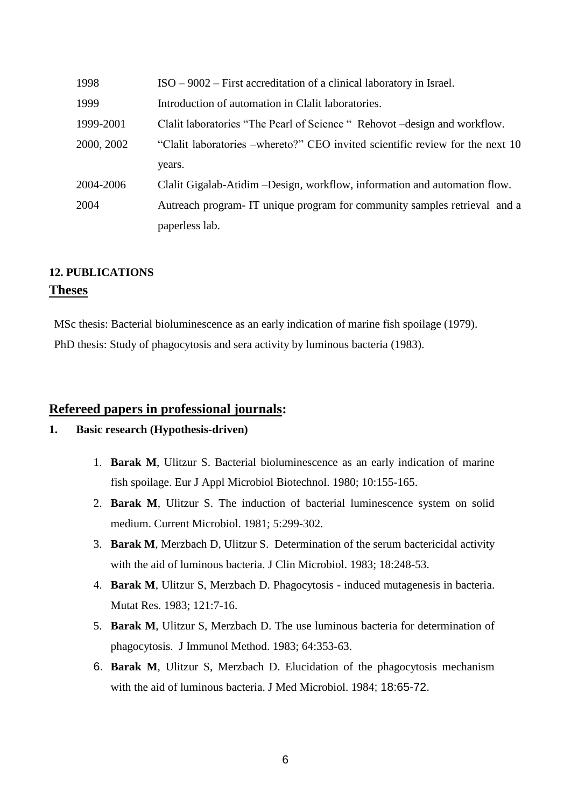| 1998       | $ISO - 9002 - First accretitation of a clinical laboratory in Israel.$        |  |  |
|------------|-------------------------------------------------------------------------------|--|--|
| 1999       | Introduction of automation in Clalit laboratories.                            |  |  |
| 1999-2001  | Clalit laboratories "The Pearl of Science" Rehovot - design and workflow.     |  |  |
| 2000, 2002 | "Clalit laboratories –whereto?" CEO invited scientific review for the next 10 |  |  |
|            | years.                                                                        |  |  |
| 2004-2006  | Clalit Gigalab-Atidim – Design, workflow, information and automation flow.    |  |  |
| 2004       | Autreach program IT unique program for community samples retrieval and a      |  |  |
|            | paperless lab.                                                                |  |  |

# **12. PUBLICATIONS Theses**

MSc thesis: Bacterial bioluminescence as an early indication of marine fish spoilage (1979). PhD thesis: Study of phagocytosis and sera activity by luminous bacteria (1983).

# **Refereed papers in professional journals:**

## **1. Basic research (Hypothesis-driven)**

- 1. **Barak M**, Ulitzur S. Bacterial bioluminescence as an early indication of marine fish spoilage. Eur J Appl Microbiol Biotechnol. 1980; 10:155-165.
- 2. **Barak M**, Ulitzur S. The induction of bacterial luminescence system on solid medium. Current Microbiol. 1981; 5:299-302.
- 3. **Barak M**, Merzbach D, Ulitzur S. Determination of the serum bactericidal activity with the aid of luminous bacteria. J Clin Microbiol. 1983; 18:248-53.
- 4. **Barak M**, Ulitzur S, Merzbach D. Phagocytosis induced mutagenesis in bacteria. Mutat Res. 1983; 121:7-16.
- 5. **Barak M**, Ulitzur S, Merzbach D. The use luminous bacteria for determination of phagocytosis. J Immunol Method. 1983; 64:353-63.
- 6. **Barak M**, Ulitzur S, Merzbach D. Elucidation of the phagocytosis mechanism with the aid of luminous bacteria. J Med Microbiol. 1984; 18:65-72.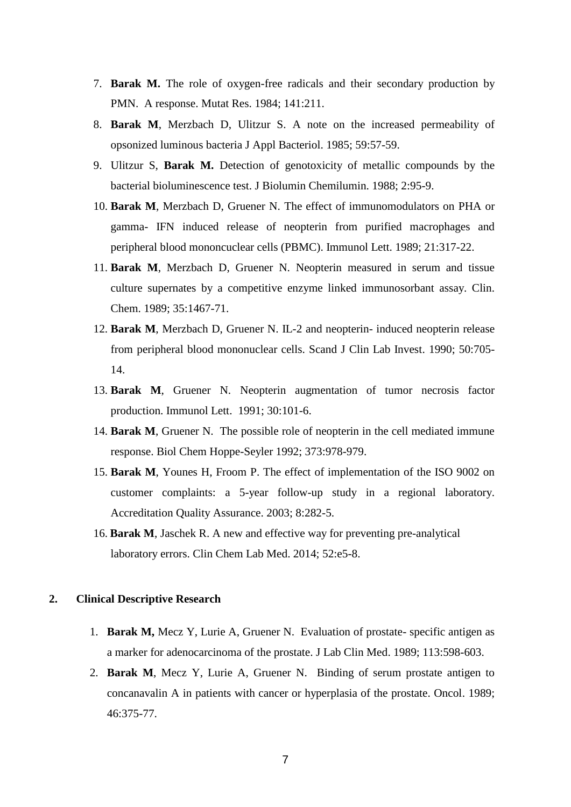- 7. **Barak M.** The role of oxygen-free radicals and their secondary production by PMN. A response. Mutat Res. 1984; 141:211.
- 8. **Barak M**, Merzbach D, Ulitzur S. A note on the increased permeability of opsonized luminous bacteria J Appl Bacteriol. 1985; 59:57-59.
- 9. Ulitzur S, **Barak M.** Detection of genotoxicity of metallic compounds by the bacterial bioluminescence test. J Biolumin Chemilumin. 1988; 2:95-9.
- 10. **Barak M**, Merzbach D, Gruener N. The effect of immunomodulators on PHA or gamma- IFN induced release of neopterin from purified macrophages and peripheral blood mononcuclear cells (PBMC). Immunol Lett. 1989; 21:317-22.
- 11. **Barak M**, Merzbach D, Gruener N. Neopterin measured in serum and tissue culture supernates by a competitive enzyme linked immunosorbant assay. Clin. Chem. 1989; 35:1467-71.
- 12. **Barak M**, Merzbach D, Gruener N. IL-2 and neopterin- induced neopterin release from peripheral blood mononuclear cells. Scand J Clin Lab Invest. 1990; 50:705- 14.
- 13. **Barak M**, Gruener N. Neopterin augmentation of tumor necrosis factor production. Immunol Lett. 1991; 30:101-6.
- 14. **Barak M**, Gruener N. The possible role of neopterin in the cell mediated immune response. Biol Chem Hoppe-Seyler 1992; 373:978-979.
- 15. **Barak M**, Younes H, Froom P. The effect of implementation of the ISO 9002 on customer complaints: a 5-year follow-up study in a regional laboratory. Accreditation Quality Assurance. 2003; 8:282-5.
- 16. **Barak M**, Jaschek R. A new and effective way for preventing pre-analytical laboratory errors. Clin Chem Lab Med. 2014; 52:e5-8.

## **2. Clinical Descriptive Research**

- 1. **Barak M,** Mecz Y, Lurie A, Gruener N. Evaluation of prostate- specific antigen as a marker for adenocarcinoma of the prostate. J Lab Clin Med. 1989; 113:598-603.
- 2. **Barak M**, Mecz Y, Lurie A, Gruener N. Binding of serum prostate antigen to concanavalin A in patients with cancer or hyperplasia of the prostate. Oncol. 1989; 46:375-77.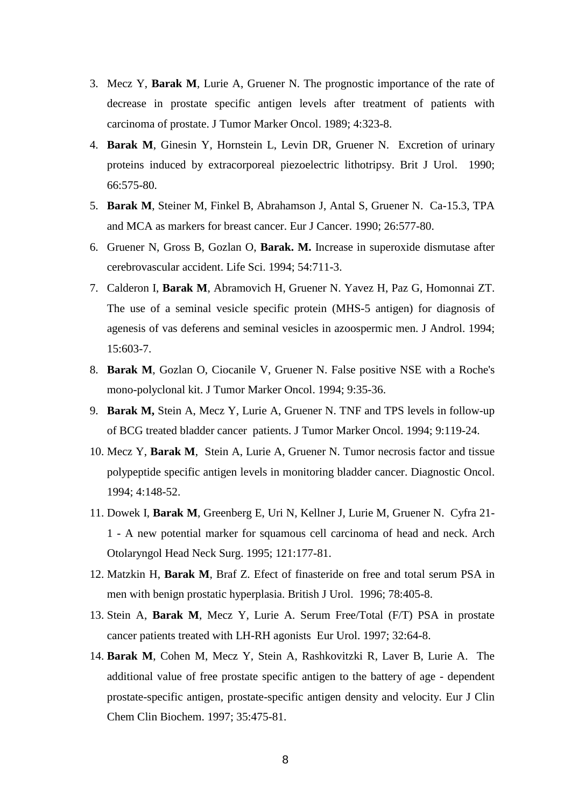- 3. Mecz Y, **Barak M**, Lurie A, Gruener N. The prognostic importance of the rate of decrease in prostate specific antigen levels after treatment of patients with carcinoma of prostate. J Tumor Marker Oncol. 1989; 4:323-8.
- 4. **Barak M**, Ginesin Y, Hornstein L, Levin DR, Gruener N. Excretion of urinary proteins induced by extracorporeal piezoelectric lithotripsy. Brit J Urol. 1990; 66:575-80.
- 5. **Barak M**, Steiner M, Finkel B, Abrahamson J, Antal S, Gruener N. Ca-15.3, TPA and MCA as markers for breast cancer. Eur J Cancer. 1990; 26:577-80.
- 6. Gruener N, Gross B, Gozlan O, **Barak. M.** Increase in superoxide dismutase after cerebrovascular accident. Life Sci. 1994; 54:711-3.
- 7. Calderon I, **Barak M**, Abramovich H, Gruener N. Yavez H, Paz G, Homonnai ZT. The use of a seminal vesicle specific protein (MHS-5 antigen) for diagnosis of agenesis of vas deferens and seminal vesicles in azoospermic men. J Androl. 1994; 15:603-7.
- 8. **Barak M**, Gozlan O, Ciocanile V, Gruener N. False positive NSE with a Roche's mono-polyclonal kit. J Tumor Marker Oncol. 1994; 9:35-36.
- 9. **Barak M,** Stein A, Mecz Y, Lurie A, Gruener N. TNF and TPS levels in follow-up of BCG treated bladder cancer patients. J Tumor Marker Oncol. 1994; 9:119-24.
- 10. Mecz Y, **Barak M**, Stein A, Lurie A, Gruener N. Tumor necrosis factor and tissue polypeptide specific antigen levels in monitoring bladder cancer. Diagnostic Oncol. 1994; 4:148-52.
- 11. Dowek I, **Barak M**, Greenberg E, Uri N, Kellner J, Lurie M, Gruener N. Cyfra 21- 1 - A new potential marker for squamous cell carcinoma of head and neck. Arch Otolaryngol Head Neck Surg. 1995; 121:177-81.
- 12. Matzkin H, **Barak M**, Braf Z. Efect of finasteride on free and total serum PSA in men with benign prostatic hyperplasia. British J Urol. 1996; 78:405-8.
- 13. Stein A, **Barak M**, Mecz Y, Lurie A. Serum Free/Total (F/T) PSA in prostate cancer patients treated with LH-RH agonists Eur Urol. 1997; 32:64-8.
- 14. **Barak M**, Cohen M, Mecz Y, Stein A, Rashkovitzki R, Laver B, Lurie A. The additional value of free prostate specific antigen to the battery of age - dependent prostate-specific antigen, prostate-specific antigen density and velocity. Eur J Clin Chem Clin Biochem. 1997; 35:475-81.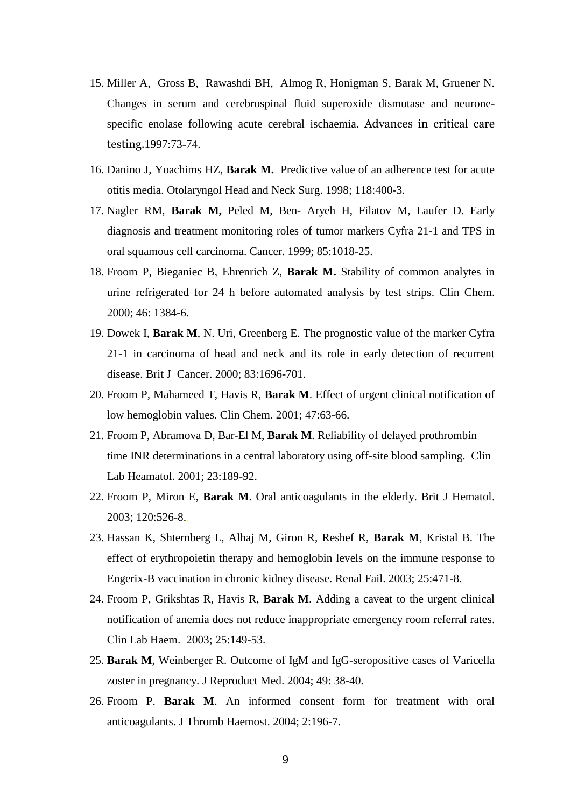- 15. Miller A, Gross B, Rawashdi BH, Almog R, Honigman S, Barak M, Gruener N. Changes in serum and cerebrospinal fluid superoxide dismutase and neuronespecific enolase following acute cerebral ischaemia. Advances in critical care testing.1997:73-74.
- 16. Danino J, Yoachims HZ, **Barak M.** Predictive value of an adherence test for acute otitis media. Otolaryngol Head and Neck Surg. 1998; 118:400-3.
- 17. Nagler RM, **Barak M,** Peled M, Ben- Aryeh H, Filatov M, Laufer D. Early diagnosis and treatment monitoring roles of tumor markers Cyfra 21-1 and TPS in oral squamous cell carcinoma. Cancer. 1999; 85:1018-25.
- 18. Froom P, Bieganiec B, Ehrenrich Z, **Barak M.** Stability of common analytes in urine refrigerated for 24 h before automated analysis by test strips. Clin Chem. 2000; 46: 1384-6.
- 19. Dowek I, **Barak M**, N. Uri, Greenberg E. The prognostic value of the marker Cyfra 21-1 in carcinoma of head and neck and its role in early detection of recurrent disease. Brit J Cancer. 2000; 83:1696-701.
- 20. Froom P, Mahameed T, Havis R, **Barak M**. Effect of urgent clinical notification of low hemoglobin values. Clin Chem. 2001; 47:63-66.
- 21. Froom P, Abramova D, Bar-El M, **Barak M**. Reliability of delayed prothrombin time INR determinations in a central laboratory using off-site blood sampling. Clin Lab Heamatol. 2001; 23:189-92.
- 22. Froom P, Miron E, **Barak M**. Oral anticoagulants in the elderly. Brit J Hematol. 2003; 120:526-8..
- 23. Hassan K, Shternberg L, Alhaj M, Giron R, Reshef R, **Barak M**, Kristal B. The effect of erythropoietin therapy and hemoglobin levels on the immune response to Engerix-B vaccination in chronic kidney disease. Renal Fail. 2003; 25:471-8.
- 24. Froom P, Grikshtas R, Havis R, **Barak M**. Adding a caveat to the urgent clinical notification of anemia does not reduce inappropriate emergency room referral rates. Clin Lab Haem. 2003; 25:149-53.
- 25. **Barak M**, Weinberger R. Outcome of IgM and IgG-seropositive cases of Varicella zoster in pregnancy. J Reproduct Med. 2004; 49: 38-40.
- 26. Froom P. **Barak M**. An informed consent form for treatment with oral anticoagulants. J Thromb Haemost. 2004; 2:196-7.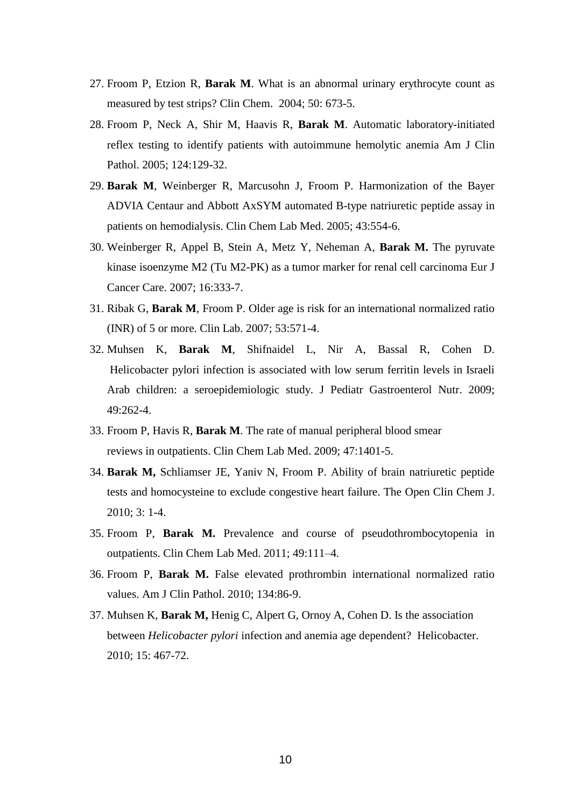- 27. Froom P, Etzion R, **Barak M**. What is an abnormal urinary erythrocyte count as measured by test strips? Clin Chem. 2004; 50: 673-5.
- 28. Froom P, Neck A, Shir M, Haavis R, **Barak M**. Automatic laboratory-initiated reflex testing to identify patients with autoimmune hemolytic anemia Am J Clin Pathol. 2005; 124:129-32.
- 29. **Barak M**, Weinberger R, Marcusohn J, Froom P. Harmonization of the Bayer ADVIA Centaur and Abbott AxSYM automated B-type natriuretic peptide assay in patients on hemodialysis. Clin Chem Lab Med. 2005; 43:554-6.
- 30. Weinberger R, Appel B, Stein A, Metz Y, Neheman A, **Barak M.** The pyruvate kinase isoenzyme M2 (Tu M2-PK) as a tumor marker for renal cell carcinoma Eur J Cancer Care. 2007; 16:333-7.
- 31. [Ribak G,](http://www.ncbi.nlm.nih.gov/sites/entrez?Db=pubmed&Cmd=Search&Term=%22Ribak%20G%22%5BAuthor%5D&itool=EntrezSystem2.PEntrez.Pubmed.Pubmed_ResultsPanel.Pubmed_RVAbstractPlusDrugs1) **[Barak M](http://www.ncbi.nlm.nih.gov/sites/entrez?Db=pubmed&Cmd=Search&Term=%22Barak%20M%22%5BAuthor%5D&itool=EntrezSystem2.PEntrez.Pubmed.Pubmed_ResultsPanel.Pubmed_RVAbstractPlusDrugs1)**, [Froom P.](http://www.ncbi.nlm.nih.gov/sites/entrez?Db=pubmed&Cmd=Search&Term=%22Froom%20P%22%5BAuthor%5D&itool=EntrezSystem2.PEntrez.Pubmed.Pubmed_ResultsPanel.Pubmed_RVAbstractPlusDrugs1) Older age is risk for an international normalized ratio (INR) of 5 or more. [Clin Lab.](javascript:AL_get(this,%20) 2007; 53:571-4.
- 32. Muhsen K, **Barak M**, Shifnaidel L, Nir A, Bassal R, Cohen D. Helicobacter pylori infection is associated with low serum ferritin levels in Israeli Arab children: a seroepidemiologic study. J Pediatr Gastroenterol Nutr. 2009; 49:262-4.
- 33. Froom P, Havis R, **Barak M**. The rate of manual peripheral blood smear reviews in outpatients. Clin Chem Lab Med. 2009; 47:1401-5.
- 34. **Barak M,** Schliamser JE, Yaniv N, Froom P. Ability of brain natriuretic peptide tests and homocysteine to exclude congestive heart failure. The Open Clin Chem J. 2010; 3: 1-4.
- 35. Froom P, **Barak M.** [Prevalence and course of pseudothrombocytopenia in](http://www.ncbi.nlm.nih.gov/pubmed/20961195)  [outpatients.](http://www.ncbi.nlm.nih.gov/pubmed/20961195) Clin Chem Lab Med. 2011; 49:111–4.
- 36. Froom P, **Barak M.** False [elevated prothrombin international normalized ratio](http://www.ncbi.nlm.nih.gov/pubmed/20551271)  [values.](http://www.ncbi.nlm.nih.gov/pubmed/20551271) Am J Clin Pathol. 2010; 134:86-9.
- 37. Muhsen K, **Barak M,** Henig C, Alpert G, Ornoy A, Cohen D. Is the association between *Helicobacter pylori* infection and anemia age dependent? Helicobacter. 2010; 15: 467-72.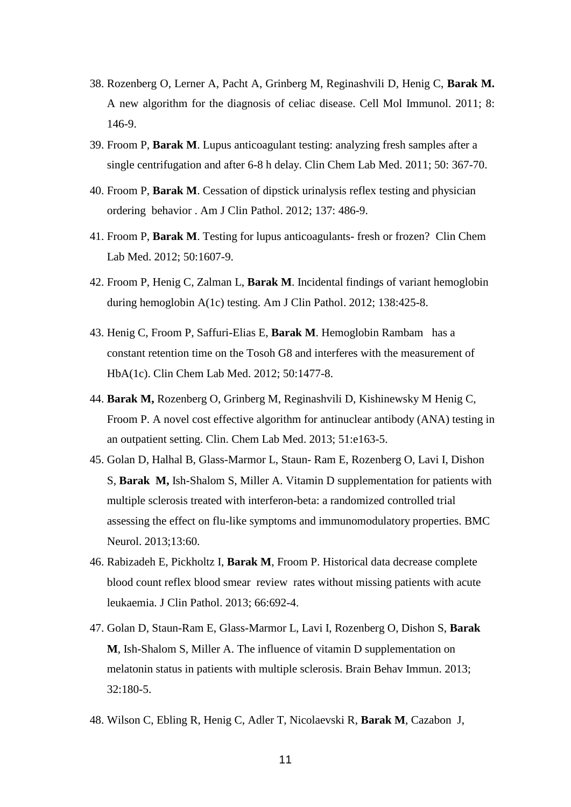- 38. Rozenberg O, Lerner A, Pacht A, Grinberg M, Reginashvili D, Henig C, **Barak M.** A new algorithm for the diagnosis of celiac disease. Cell Mol Immunol. 2011; 8: 146-9.
- 39. Froom P, **Barak M**. Lupus anticoagulant testing: analyzing fresh samples after a single centrifugation and after 6-8 h delay. Clin Chem Lab Med. 2011; 50: 367-70.
- 40. Froom P, **Barak M**. Cessation of dipstick urinalysis reflex testing and physician ordering behavior . Am J Clin Pathol. 2012; 137: 486-9.
- 41. Froom P, **Barak M**. Testing for lupus anticoagulants- fresh or frozen? Clin Chem Lab Med. 2012; 50:1607-9.
- 42. Froom P, Henig C, Zalman L, **Barak M**. [Incidental findings of variant hemoglobin](http://www.ncbi.nlm.nih.gov.rproxy.tau.ac.il/pubmed/22912360)  [during hemoglobin A\(1c\) testing.](http://www.ncbi.nlm.nih.gov.rproxy.tau.ac.il/pubmed/22912360) Am J Clin Pathol. 2012; 138:425-8.
- 43. Henig C, Froom P, Saffuri-Elias E, **Barak M**. [Hemoglobin Rambam has a](http://www.ncbi.nlm.nih.gov.rproxy.tau.ac.il/pubmed/22868816)  [constant retention time on the Tosoh G8 and interferes with the measurement of](http://www.ncbi.nlm.nih.gov.rproxy.tau.ac.il/pubmed/22868816)  [HbA\(1c\).](http://www.ncbi.nlm.nih.gov.rproxy.tau.ac.il/pubmed/22868816) Clin Chem Lab Med. 2012; 50:1477-8.
- 44. **Barak M,** Rozenberg O, Grinberg M, Reginashvili D, Kishinewsky M Henig C, Froom P. A novel cost effective algorithm for antinuclear antibody (ANA) testing in an outpatient setting. Clin. Chem Lab Med. 2013; 51:e163-5.
- 45. Golan D, Halhal B, Glass-Marmor L, Staun- Ram E, Rozenberg O, Lavi I, Dishon S, **Barak M,** Ish-Shalom S, Miller A. Vitamin D supplementation for patients with multiple sclerosis treated with interferon-beta: a randomized controlled trial assessing the effect on flu-like symptoms and immunomodulatory properties. BMC Neurol. 2013;13:60.
- 46. Rabizadeh E, Pickholtz I, **Barak M**, Froom P. Historical data decrease complete blood count reflex blood smear review rates without missing patients with acute leukaemia. J Clin Pathol. 2013; 66:692-4.
- 47. Golan D, Staun-Ram E, Glass-Marmor L, Lavi I, Rozenberg O, Dishon S, **Barak M**, Ish-Shalom S, Miller A. The influence of vitamin D supplementation on melatonin status in patients with multiple sclerosis. Brain Behav Immun. 2013; 32:180-5.
- 48. Wilson C, Ebling R, Henig C, Adler T, Nicolaevski R, **Barak M**, Cazabon J,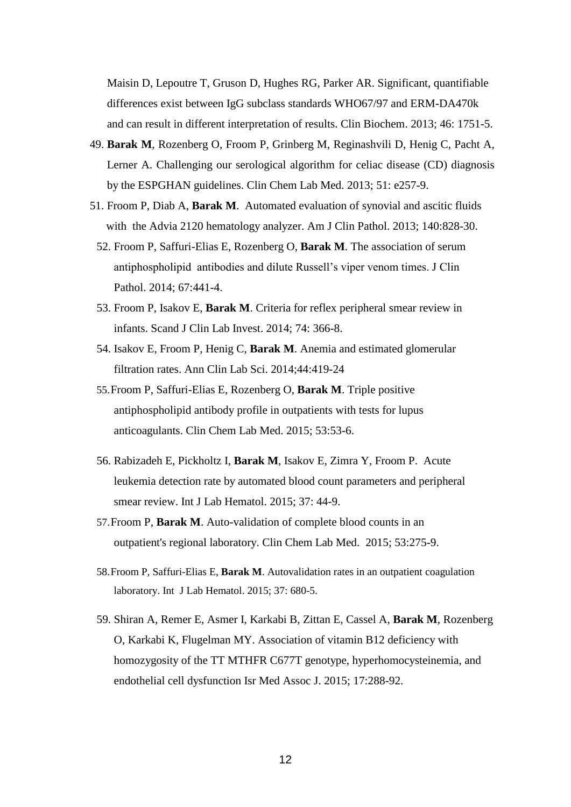Maisin D, Lepoutre T, Gruson D, Hughes RG, Parker AR. Significant, quantifiable differences exist between IgG subclass standards WHO67/97 and ERM-DA470k and can result in different interpretation of results. Clin Biochem. 2013; 46: 1751-5.

- 49. **Barak M**, Rozenberg O, Froom P, Grinberg M, Reginashvili D, Henig C, Pacht A, Lerner A. Challenging our serological algorithm for celiac disease (CD) diagnosis by the ESPGHAN guidelines. Clin Chem Lab Med. 2013; 51: e257-9.
- 51. Froom P, Diab A, **Barak M**. [Automated evaluation of synovial and ascitic fluids](http://www.ncbi.nlm.nih.gov/pubmed/24225750)  [with the Advia 2120 hematology analyzer.](http://www.ncbi.nlm.nih.gov/pubmed/24225750) Am J Clin Pathol. 2013; 140:828-30.
	- 52. Froom P, Saffuri-Elias E, Rozenberg O, **Barak M**. The association of serum antiphospholipid antibodies and dilute Russell's viper venom times. J Clin Pathol. 2014; 67:441-4.
	- 53. Froom P, Isakov E, **Barak M**. Criteria for reflex peripheral smear review in infants. Scand J Clin Lab Invest. 2014; 74: 366-8.
	- 54. Isakov E, Froom P, Henig C, **Barak M**. Anemia and estimated glomerular filtration rates. Ann Clin Lab Sci. 2014;44:419-24
	- 55.Froom P, Saffuri-Elias E, Rozenberg O, **Barak M**. Triple positive antiphospholipid antibody profile in outpatients with tests for lupus anticoagulants. Clin Chem Lab Med. 2015; 53:53-6.
	- 56. Rabizadeh E, Pickholtz I, **Barak M**, Isakov E, Zimra Y, Froom P. Acute leukemia detection rate by automated blood count parameters and peripheral smear review. Int J Lab Hematol. 2015; 37: 44-9.
	- 57.Froom P, **Barak M**. Auto-validation of complete blood counts in an outpatient's regional laboratory. Clin Chem Lab Med. 2015; 53:275-9.
	- 58.Froom P, Saffuri-Elias E, **Barak M**. Autovalidation rates in an outpatient coagulation laboratory. Int J Lab Hematol. 2015; 37: 680-5.
	- 59. Shiran A, Remer E, Asmer I, Karkabi B, Zittan E, Cassel A, **Barak M**, Rozenberg O, Karkabi K, Flugelman MY. Association of vitamin B12 deficiency with homozygosity of the TT MTHFR C677T genotype, hyperhomocysteinemia, and endothelial cell dysfunction [Isr Med Assoc J.](http://www.ncbi.nlm.nih.gov.clalit-ez.medlcp.tau.ac.il/pubmed/26137654) 2015; 17:288-92.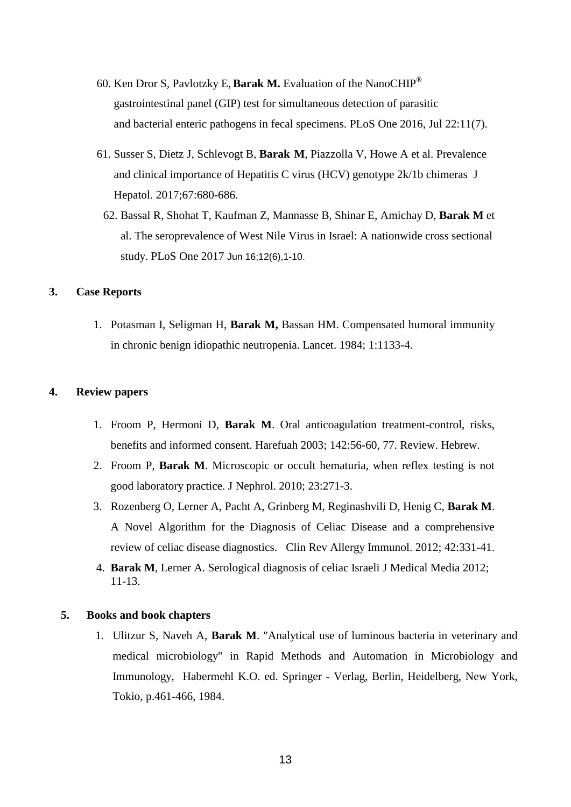- 60. Ken Dror S, Pavlotzky E, **Barak M.** Evaluation of the NanoCHIP® gastrointestinal panel (GIP) test for simultaneous detection of parasitic and bacterial enteric pathogens in fecal specimens. PLoS One 2016, Jul 22:11(7).
- 61. Susser S, Dietz J, Schlevogt B, **Barak M**, Piazzolla V, Howe A et al. Prevalence and clinical importance of Hepatitis C virus (HCV) genotype 2k/1b chimeras J Hepatol. 2017;67:680-686.
- 62. Bassal R, Shohat T, Kaufman Z, Mannasse B, Shinar E, Amichay D, **Barak M** et al. The seroprevalence of West Nile Virus in Israel: A nationwide cross sectional study. PLoS One 2017 Jun 16;12(6),1-10.

#### **3. Case Reports**

1. Potasman I, Seligman H, **Barak M,** Bassan HM. Compensated humoral immunity in chronic benign idiopathic neutropenia. Lancet. 1984; 1:1133-4.

#### **4. Review papers**

- 1. Froom P, Hermoni D, **Barak M**. Oral anticoagulation treatment-control, risks, benefits and informed consent. Harefuah 2003; 142:56-60, 77. Review. Hebrew.
- 2. Froom P, **Barak M**. [Microscopic or occult hematuria, when reflex testing is not](http://www.ncbi.nlm.nih.gov/pubmed/20155723)  [good laboratory practice.](http://www.ncbi.nlm.nih.gov/pubmed/20155723) J Nephrol. 2010; 23:271-3.
- 3. Rozenberg O, Lerner A, Pacht A, Grinberg M, Reginashvili D, Henig C, **Barak M**. A Novel Algorithm for the Diagnosis of Celiac Disease and a comprehensive review of celiac disease diagnostics. Clin Rev Allergy Immunol. 2012; 42:331-41.
- 4. **Barak M**, Lerner A. Serological diagnosis of celiac Israeli J Medical Media 2012; 11-13.

#### **5. 5. Books and book chapters**

1. Ulitzur S, Naveh A, **Barak M**. "Analytical use of luminous bacteria in veterinary and medical microbiology" in Rapid Methods and Automation in Microbiology and Immunology, Habermehl K.O. ed. Springer - Verlag, Berlin, Heidelberg, New York, Tokio, p.461-466, 1984.